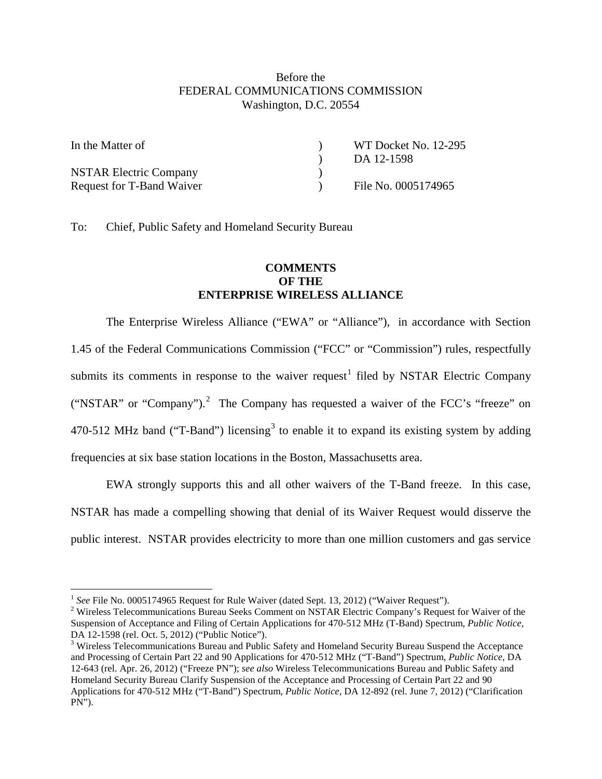## Before the FEDERAL COMMUNICATIONS COMMISSION Washington, D.C. 20554

| In the Matter of              | WT Docket No. 12-295 |
|-------------------------------|----------------------|
|                               | DA 12-1598           |
| <b>NSTAR Electric Company</b> |                      |
| Request for T-Band Waiver     | File No. 0005174965  |

To: Chief, Public Safety and Homeland Security Bureau

## **COMMENTS OF THE ENTERPRISE WIRELESS ALLIANCE**

The Enterprise Wireless Alliance ("EWA" or "Alliance"), in accordance with Section 1.45 of the Federal Communications Commission ("FCC" or "Commission") rules, respectfully submits its comments in response to the waiver request<sup>[1](#page-0-0)</sup> filed by NSTAR Electric Company ("NSTAR" or "Company").<sup>[2](#page-0-1)</sup> The Company has requested a waiver of the FCC's "freeze" on 470-512 MHz band ("T-Band") licensing<sup>[3](#page-0-2)</sup> to enable it to expand its existing system by adding frequencies at six base station locations in the Boston, Massachusetts area.

EWA strongly supports this and all other waivers of the T-Band freeze. In this case, NSTAR has made a compelling showing that denial of its Waiver Request would disserve the public interest. NSTAR provides electricity to more than one million customers and gas service

<span id="page-0-1"></span><span id="page-0-0"></span>

<sup>&</sup>lt;sup>1</sup> See File No. 0005174965 Request for Rule Waiver (dated Sept. 13, 2012) ("Waiver Request").<br><sup>2</sup> Wireless Telecommunications Bureau Seeks Comment on NSTAR Electric Company's Request for Waiver of the Suspension of Acceptance and Filing of Certain Applications for 470-512 MHz (T-Band) Spectrum, *Public Notice*,

<span id="page-0-2"></span> $3$  Wireless Telecommunications Bureau and Public Safety and Homeland Security Bureau Suspend the Acceptance and Processing of Certain Part 22 and 90 Applications for 470-512 MHz ("T-Band") Spectrum, *Public Notice*, DA 12-643 (rel. Apr. 26, 2012) ("Freeze PN"); *see also* Wireless Telecommunications Bureau and Public Safety and Homeland Security Bureau Clarify Suspension of the Acceptance and Processing of Certain Part 22 and 90 Applications for 470-512 MHz ("T-Band") Spectrum, *Public Notice*, DA 12-892 (rel. June 7, 2012) ("Clarification PN").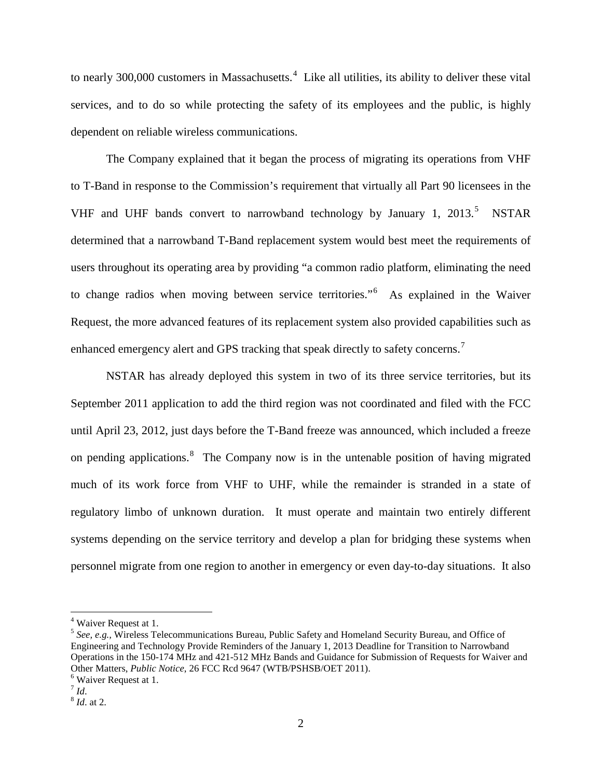to nearly 300,000 customers in Massachusetts.<sup>[4](#page-1-0)</sup> Like all utilities, its ability to deliver these vital services, and to do so while protecting the safety of its employees and the public, is highly dependent on reliable wireless communications.

The Company explained that it began the process of migrating its operations from VHF to T-Band in response to the Commission's requirement that virtually all Part 90 licensees in the VHF and UHF bands convert to narrowband technology by January 1, 2013.<sup>[5](#page-1-1)</sup> NSTAR determined that a narrowband T-Band replacement system would best meet the requirements of users throughout its operating area by providing "a common radio platform, eliminating the need to change radios when moving between service territories."<sup>[6](#page-1-2)</sup> As explained in the Waiver Request, the more advanced features of its replacement system also provided capabilities such as enhanced emergency alert and GPS tracking that speak directly to safety concerns.<sup>[7](#page-1-3)</sup>

NSTAR has already deployed this system in two of its three service territories, but its September 2011 application to add the third region was not coordinated and filed with the FCC until April 23, 2012, just days before the T-Band freeze was announced, which included a freeze on pending applications.<sup>[8](#page-1-4)</sup> The Company now is in the untenable position of having migrated much of its work force from VHF to UHF, while the remainder is stranded in a state of regulatory limbo of unknown duration. It must operate and maintain two entirely different systems depending on the service territory and develop a plan for bridging these systems when personnel migrate from one region to another in emergency or even day-to-day situations. It also

<span id="page-1-0"></span> <sup>4</sup> Waiver Request at 1.

<span id="page-1-1"></span><sup>5</sup> *See, e.g.,* Wireless Telecommunications Bureau, Public Safety and Homeland Security Bureau, and Office of Engineering and Technology Provide Reminders of the January 1, 2013 Deadline for Transition to Narrowband Operations in the 150-174 MHz and 421-512 MHz Bands and Guidance for Submission of Requests for Waiver and Other Matters, *Public Notice*, 26 FCC Rcd 9647 (WTB/PSHSB/OET 2011).<br><sup>6</sup> Waiver Request at 1.<br><sup>7</sup> Id.

<span id="page-1-3"></span><span id="page-1-2"></span>

<span id="page-1-4"></span><sup>7</sup> *Id*. <sup>8</sup> *Id*. at 2.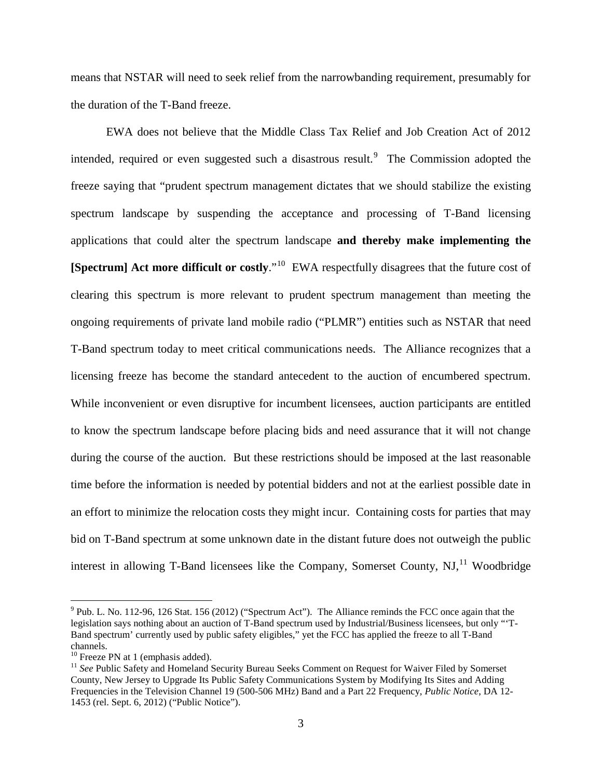means that NSTAR will need to seek relief from the narrowbanding requirement, presumably for the duration of the T-Band freeze.

EWA does not believe that the Middle Class Tax Relief and Job Creation Act of 2012 intended, required or even suggested such a disastrous result.<sup>[9](#page-2-0)</sup> The Commission adopted the freeze saying that "prudent spectrum management dictates that we should stabilize the existing spectrum landscape by suspending the acceptance and processing of T-Band licensing applications that could alter the spectrum landscape **and thereby make implementing the [Spectrum] Act more difficult or costly**."[10](#page-2-1) EWA respectfully disagrees that the future cost of clearing this spectrum is more relevant to prudent spectrum management than meeting the ongoing requirements of private land mobile radio ("PLMR") entities such as NSTAR that need T-Band spectrum today to meet critical communications needs. The Alliance recognizes that a licensing freeze has become the standard antecedent to the auction of encumbered spectrum. While inconvenient or even disruptive for incumbent licensees, auction participants are entitled to know the spectrum landscape before placing bids and need assurance that it will not change during the course of the auction. But these restrictions should be imposed at the last reasonable time before the information is needed by potential bidders and not at the earliest possible date in an effort to minimize the relocation costs they might incur. Containing costs for parties that may bid on T-Band spectrum at some unknown date in the distant future does not outweigh the public interest in allowing T-Band licensees like the Company, Somerset County,  $NJ$ ,  $^{11}$  $^{11}$  $^{11}$  Woodbridge

<span id="page-2-0"></span> $9$  Pub. L. No. 112-96, 126 Stat. 156 (2012) ("Spectrum Act"). The Alliance reminds the FCC once again that the legislation says nothing about an auction of T-Band spectrum used by Industrial/Business licensees, but only "'T-Band spectrum' currently used by public safety eligibles," yet the FCC has applied the freeze to all T-Band channels.<br><sup>10</sup> Freeze PN at 1 (emphasis added).

<span id="page-2-1"></span>

<span id="page-2-2"></span><sup>&</sup>lt;sup>11</sup> See Public Safety and Homeland Security Bureau Seeks Comment on Request for Waiver Filed by Somerset County, New Jersey to Upgrade Its Public Safety Communications System by Modifying Its Sites and Adding Frequencies in the Television Channel 19 (500-506 MHz) Band and a Part 22 Frequency, *Public Notice*, DA 12- 1453 (rel. Sept. 6, 2012) ("Public Notice").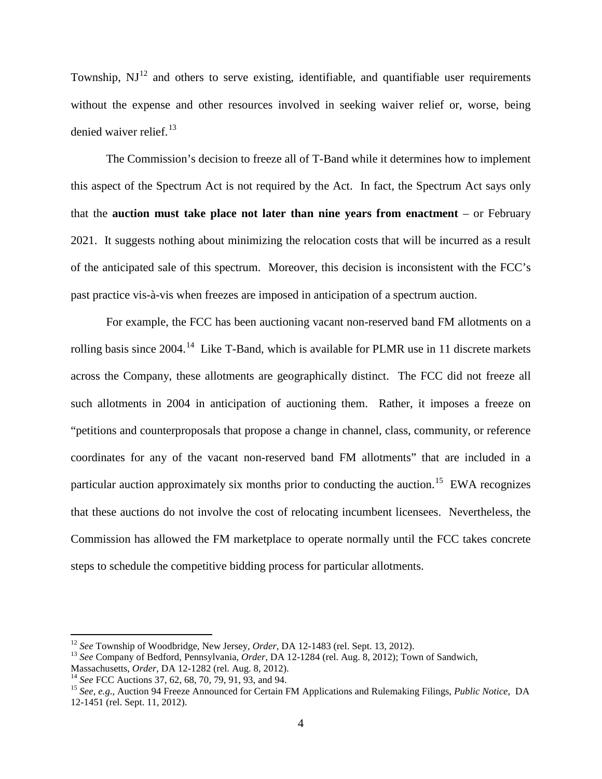Township,  $NJ<sup>12</sup>$  $NJ<sup>12</sup>$  $NJ<sup>12</sup>$  and others to serve existing, identifiable, and quantifiable user requirements without the expense and other resources involved in seeking waiver relief or, worse, being denied waiver relief.<sup>[13](#page-3-1)</sup>

The Commission's decision to freeze all of T-Band while it determines how to implement this aspect of the Spectrum Act is not required by the Act. In fact, the Spectrum Act says only that the **auction must take place not later than nine years from enactment** – or February 2021. It suggests nothing about minimizing the relocation costs that will be incurred as a result of the anticipated sale of this spectrum. Moreover, this decision is inconsistent with the FCC's past practice vis-à-vis when freezes are imposed in anticipation of a spectrum auction.

For example, the FCC has been auctioning vacant non-reserved band FM allotments on a rolling basis since 2004.<sup>14</sup> Like T-Band, which is available for PLMR use in 11 discrete markets across the Company, these allotments are geographically distinct. The FCC did not freeze all such allotments in 2004 in anticipation of auctioning them. Rather, it imposes a freeze on "petitions and counterproposals that propose a change in channel, class, community, or reference coordinates for any of the vacant non-reserved band FM allotments" that are included in a particular auction approximately six months prior to conducting the auction.<sup>[15](#page-3-3)</sup> EWA recognizes that these auctions do not involve the cost of relocating incumbent licensees. Nevertheless, the Commission has allowed the FM marketplace to operate normally until the FCC takes concrete steps to schedule the competitive bidding process for particular allotments.

<span id="page-3-0"></span> <sup>12</sup> *See* Township of Woodbridge, New Jersey, *Order*, DA 12-1483 (rel. Sept. 13, 2012).

<span id="page-3-1"></span><sup>&</sup>lt;sup>13</sup> *See* Company of Bedford, Pennsylvania, *Order*, DA 12-1284 (rel. Aug. 8, 2012); Town of Sandwich, Massachusetts, *Order*, DA 12-1282 (rel. Aug. 8, 2012).

<span id="page-3-3"></span>

<span id="page-3-2"></span><sup>&</sup>lt;sup>14</sup> See FCC Auctions 37, 62, 68, 70, 79, 91, 93, and 94.<br><sup>15</sup> See, e.g., Auction 94 Freeze Announced for Certain FM Applications and Rulemaking Filings, *Public Notice*, DA 12-1451 (rel. Sept. 11, 2012).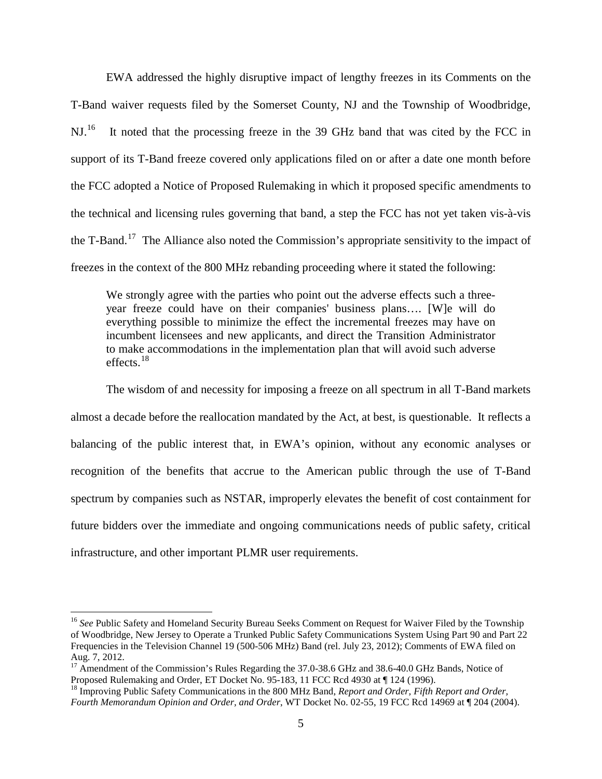EWA addressed the highly disruptive impact of lengthy freezes in its Comments on the T-Band waiver requests filed by the Somerset County, NJ and the Township of Woodbridge, NJ.<sup>[16](#page-4-0)</sup> It noted that the processing freeze in the 39 GHz band that was cited by the FCC in support of its T-Band freeze covered only applications filed on or after a date one month before the FCC adopted a Notice of Proposed Rulemaking in which it proposed specific amendments to the technical and licensing rules governing that band, a step the FCC has not yet taken vis-à-vis the T-Band.<sup>[17](#page-4-1)</sup> The Alliance also noted the Commission's appropriate sensitivity to the impact of freezes in the context of the 800 MHz rebanding proceeding where it stated the following:

We strongly agree with the parties who point out the adverse effects such a threeyear freeze could have on their companies' business plans…. [W]e will do everything possible to minimize the effect the incremental freezes may have on incumbent licensees and new applicants, and direct the Transition Administrator to make accommodations in the implementation plan that will avoid such adverse effects. [18](#page-4-2)

The wisdom of and necessity for imposing a freeze on all spectrum in all T-Band markets almost a decade before the reallocation mandated by the Act, at best, is questionable. It reflects a balancing of the public interest that, in EWA's opinion, without any economic analyses or recognition of the benefits that accrue to the American public through the use of T-Band spectrum by companies such as NSTAR, improperly elevates the benefit of cost containment for future bidders over the immediate and ongoing communications needs of public safety, critical infrastructure, and other important PLMR user requirements.

<span id="page-4-0"></span><sup>&</sup>lt;sup>16</sup> See Public Safety and Homeland Security Bureau Seeks Comment on Request for Waiver Filed by the Township of Woodbridge, New Jersey to Operate a Trunked Public Safety Communications System Using Part 90 and Part 22 Frequencies in the Television Channel 19 (500-506 MHz) Band (rel. July 23, 2012); Comments of EWA filed on Aug. 7, 2012.

<span id="page-4-1"></span><sup>&</sup>lt;sup>17</sup> Amendment of the Commission's Rules Regarding the 37.0-38.6 GHz and 38.6-40.0 GHz Bands, Notice of Proposed Rulemaking and Order, ET Docket No. 95-183, 11 FCC Rcd 4930 at  $\P$  124 (1996).

<span id="page-4-2"></span><sup>&</sup>lt;sup>18</sup> Improving Public Safety Communications in the 800 MHz Band, *Report and Order, Fifth Report and Order, Fourth Memorandum Opinion and Order, and Order*, WT Docket No. 02-55, 19 FCC Rcd 14969 at ¶ 204 (2004).